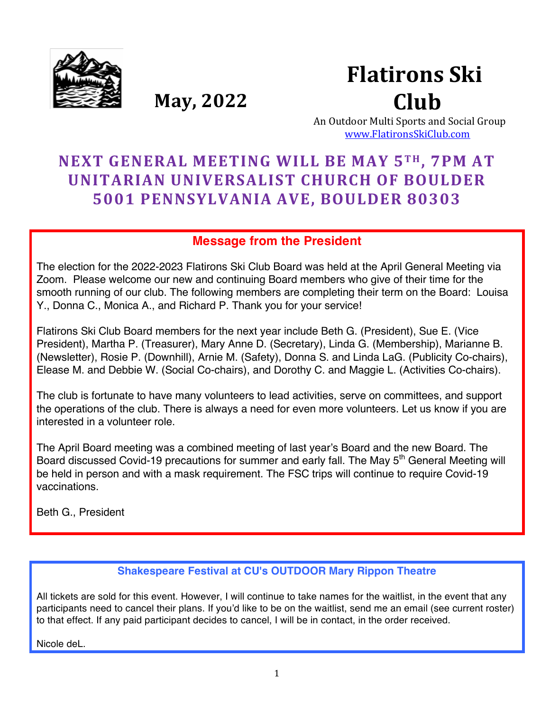

**Flatirons Ski Club** 

**May, 2022** 

An Outdoor Multi Sports and Social Group www.FlatironsSkiClub.com

# **NEXT GENERAL MEETING WILL BE MAY 5T H , 7PM AT UNITARIAN UNIVERSALIST CHURCH OF BOULDER 5001 PENNSYLVANIA AVE, BOULDER 80303**

### **Message from the President**

The election for the 2022-2023 Flatirons Ski Club Board was held at the April General Meeting via Zoom. Please welcome our new and continuing Board members who give of their time for the smooth running of our club. The following members are completing their term on the Board: Louisa Y., Donna C., Monica A., and Richard P. Thank you for your service!

Flatirons Ski Club Board members for the next year include Beth G. (President), Sue E. (Vice President), Martha P. (Treasurer), Mary Anne D. (Secretary), Linda G. (Membership), Marianne B. (Newsletter), Rosie P. (Downhill), Arnie M. (Safety), Donna S. and Linda LaG. (Publicity Co-chairs), Elease M. and Debbie W. (Social Co-chairs), and Dorothy C. and Maggie L. (Activities Co-chairs).

The club is fortunate to have many volunteers to lead activities, serve on committees, and support the operations of the club. There is always a need for even more volunteers. Let us know if you are interested in a volunteer role.

The April Board meeting was a combined meeting of last year's Board and the new Board. The Board discussed Covid-19 precautions for summer and early fall. The May 5<sup>th</sup> General Meeting will be held in person and with a mask requirement. The FSC trips will continue to require Covid-19 vaccinations.

Beth G., President

### **Shakespeare Festival at CU's OUTDOOR Mary Rippon Theatre**

All tickets are sold for this event. However, I will continue to take names for the waitlist, in the event that any participants need to cancel their plans. If you'd like to be on the waitlist, send me an email (see current roster) to that effect. If any paid participant decides to cancel, I will be in contact, in the order received.

Nicole deL.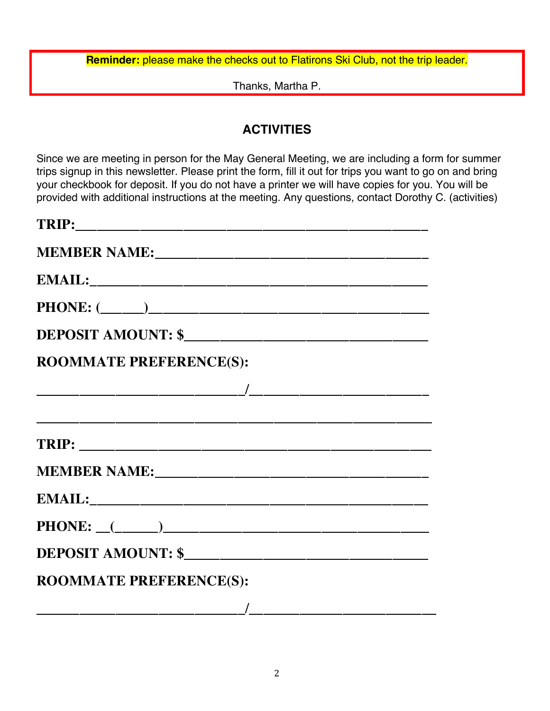**Reminder:** please make the checks out to Flatirons Ski Club, not the trip leader.

Thanks, Martha P.

## **ACTIVITIES**

Since we are meeting in person for the May General Meeting, we are including a form for summer trips signup in this newsletter. Please print the form, fill it out for trips you want to go on and bring your checkbook for deposit. If you do not have a printer we will have copies for you. You will be provided with additional instructions at the meeting. Any questions, contact Dorothy C. (activities)

| <b>ROOMMATE PREFERENCE(S):</b>                                                                                                                                                                                                                                                                                                                                               |
|------------------------------------------------------------------------------------------------------------------------------------------------------------------------------------------------------------------------------------------------------------------------------------------------------------------------------------------------------------------------------|
|                                                                                                                                                                                                                                                                                                                                                                              |
|                                                                                                                                                                                                                                                                                                                                                                              |
|                                                                                                                                                                                                                                                                                                                                                                              |
|                                                                                                                                                                                                                                                                                                                                                                              |
|                                                                                                                                                                                                                                                                                                                                                                              |
|                                                                                                                                                                                                                                                                                                                                                                              |
| DEPOSIT AMOUNT: \$                                                                                                                                                                                                                                                                                                                                                           |
| <b>ROOMMATE PREFERENCE(S):</b>                                                                                                                                                                                                                                                                                                                                               |
| $\overline{\phantom{a}}$ , and the contract of the contract of $\overline{\phantom{a}}$ , and $\overline{\phantom{a}}$ , and $\overline{\phantom{a}}$ , and $\overline{\phantom{a}}$ , and $\overline{\phantom{a}}$ , and $\overline{\phantom{a}}$ , and $\overline{\phantom{a}}$ , and $\overline{\phantom{a}}$ , and $\overline{\phantom{a}}$ , and $\overline{\phantom{a$ |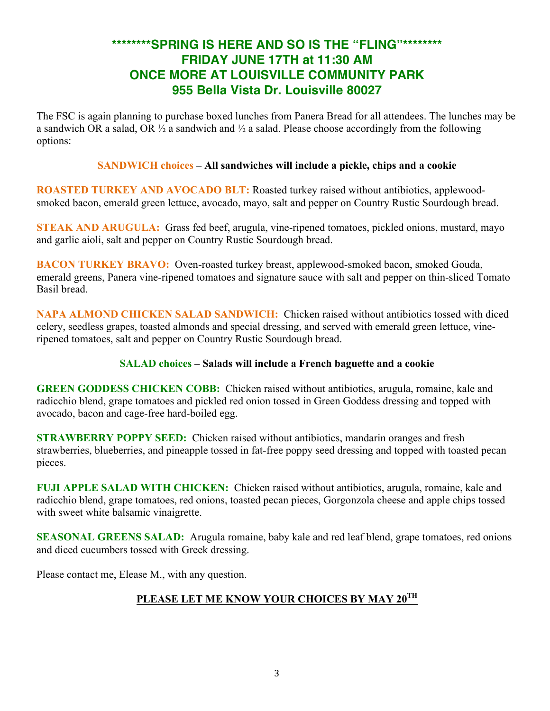## **\*\*\*\*\*\*\*\*SPRING IS HERE AND SO IS THE "FLING"\*\*\*\*\*\*\*\* FRIDAY JUNE 17TH at 11:30 AM ONCE MORE AT LOUISVILLE COMMUNITY PARK 955 Bella Vista Dr. Louisville 80027**

The FSC is again planning to purchase boxed lunches from Panera Bread for all attendees. The lunches may be a sandwich OR a salad, OR  $\frac{1}{2}$  a sandwich and  $\frac{1}{2}$  a salad. Please choose accordingly from the following options:

#### **SANDWICH choices – All sandwiches will include a pickle, chips and a cookie**

**ROASTED TURKEY AND AVOCADO BLT:** Roasted turkey raised without antibiotics, applewoodsmoked bacon, emerald green lettuce, avocado, mayo, salt and pepper on Country Rustic Sourdough bread.

**STEAK AND ARUGULA:** Grass fed beef, arugula, vine-ripened tomatoes, pickled onions, mustard, mayo and garlic aioli, salt and pepper on Country Rustic Sourdough bread.

**BACON TURKEY BRAVO:** Oven-roasted turkey breast, applewood-smoked bacon, smoked Gouda, emerald greens, Panera vine-ripened tomatoes and signature sauce with salt and pepper on thin-sliced Tomato Basil bread.

**NAPA ALMOND CHICKEN SALAD SANDWICH:** Chicken raised without antibiotics tossed with diced celery, seedless grapes, toasted almonds and special dressing, and served with emerald green lettuce, vineripened tomatoes, salt and pepper on Country Rustic Sourdough bread.

#### **SALAD choices – Salads will include a French baguette and a cookie**

**GREEN GODDESS CHICKEN COBB:** Chicken raised without antibiotics, arugula, romaine, kale and radicchio blend, grape tomatoes and pickled red onion tossed in Green Goddess dressing and topped with avocado, bacon and cage-free hard-boiled egg.

**STRAWBERRY POPPY SEED:** Chicken raised without antibiotics, mandarin oranges and fresh strawberries, blueberries, and pineapple tossed in fat-free poppy seed dressing and topped with toasted pecan pieces.

**FUJI APPLE SALAD WITH CHICKEN:** Chicken raised without antibiotics, arugula, romaine, kale and radicchio blend, grape tomatoes, red onions, toasted pecan pieces, Gorgonzola cheese and apple chips tossed with sweet white balsamic vinaigrette.

**SEASONAL GREENS SALAD:** Arugula romaine, baby kale and red leaf blend, grape tomatoes, red onions and diced cucumbers tossed with Greek dressing.

Please contact me, Elease M., with any question.

## **PLEASE LET ME KNOW YOUR CHOICES BY MAY 20TH**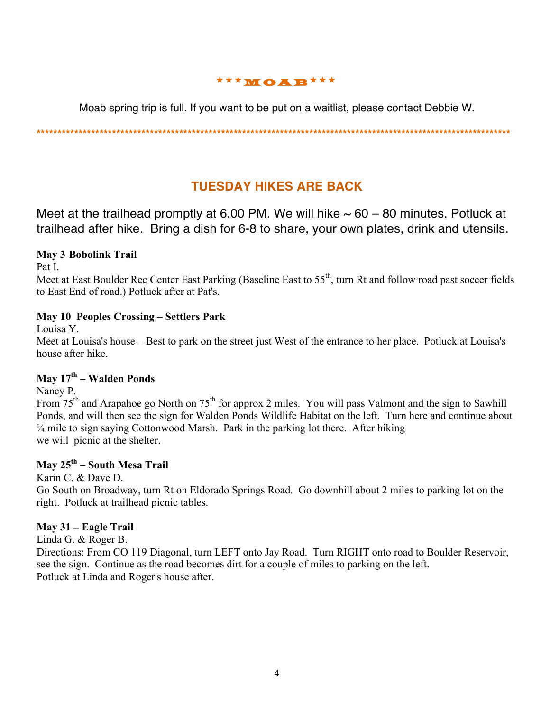### **\*\*\*MOAB \*\*\***

Moab spring trip is full. If you want to be put on a waitlist, please contact Debbie W.

**\*\*\*\*\*\*\*\*\*\*\*\*\*\*\*\*\*\*\*\*\*\*\*\*\*\*\*\*\*\*\*\*\*\*\*\*\*\*\*\*\*\*\*\*\*\*\*\*\*\*\*\*\*\*\*\*\*\*\*\*\*\*\*\*\*\*\*\*\*\*\*\*\*\*\*\*\*\*\*\*\*\*\*\*\*\*\*\*\*\*\*\*\*\*\*\*\*\*\*\*\*\*\*\*\*\*\*\*\*\*\*\*\***

## **TUESDAY HIKES ARE BACK**

Meet at the trailhead promptly at 6.00 PM. We will hike  $\sim 60 - 80$  minutes. Potluck at trailhead after hike. Bring a dish for 6-8 to share, your own plates, drink and utensils.

### **May 3 Bobolink Trail**

Pat I.

Meet at East Boulder Rec Center East Parking (Baseline East to 55<sup>th</sup>, turn Rt and follow road past soccer fields to East End of road.) Potluck after at Pat's.

### **May 10 Peoples Crossing – Settlers Park**

Louisa Y.

Meet at Louisa's house – Best to park on the street just West of the entrance to her place. Potluck at Louisa's house after hike.

#### **May 17th – Walden Ponds**

Nancy P.

From 75<sup>th</sup> and Arapahoe go North on 75<sup>th</sup> for approx 2 miles. You will pass Valmont and the sign to Sawhill Ponds, and will then see the sign for Walden Ponds Wildlife Habitat on the left. Turn here and continue about ¼ mile to sign saying Cottonwood Marsh. Park in the parking lot there. After hiking we will picnic at the shelter.

### **May 25th – South Mesa Trail**

Karin C. & Dave D.

Go South on Broadway, turn Rt on Eldorado Springs Road. Go downhill about 2 miles to parking lot on the right. Potluck at trailhead picnic tables.

### **May 31 – Eagle Trail**

Linda G. & Roger B.

Directions: From CO 119 Diagonal, turn LEFT onto Jay Road. Turn RIGHT onto road to Boulder Reservoir, see the sign. Continue as the road becomes dirt for a couple of miles to parking on the left. Potluck at Linda and Roger's house after.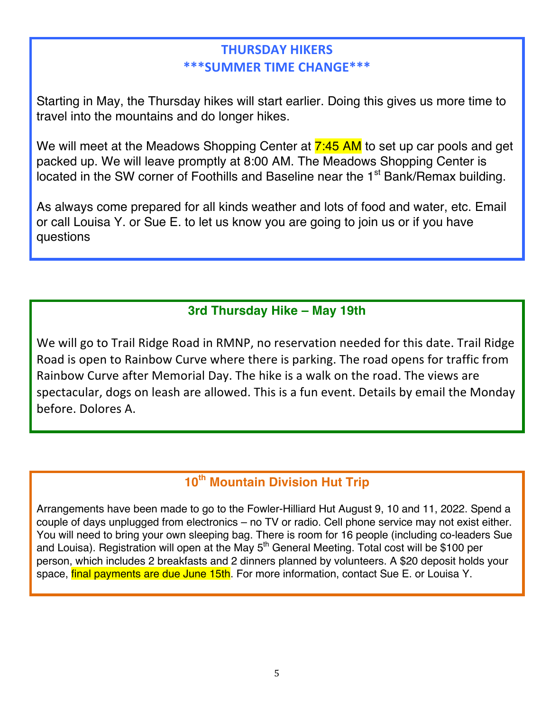## **THURSDAY HIKERS \*\*\*SUMMER TIME CHANGE\*\*\***

Starting in May, the Thursday hikes will start earlier. Doing this gives us more time to travel into the mountains and do longer hikes.

We will meet at the Meadows Shopping Center at 7:45 AM to set up car pools and get packed up. We will leave promptly at 8:00 AM. The Meadows Shopping Center is located in the SW corner of Foothills and Baseline near the 1<sup>st</sup> Bank/Remax building.

As always come prepared for all kinds weather and lots of food and water, etc. Email or call Louisa Y. or Sue E. to let us know you are going to join us or if you have questions

## **3rd Thursday Hike – May 19th**

We will go to Trail Ridge Road in RMNP, no reservation needed for this date. Trail Ridge Road is open to Rainbow Curve where there is parking. The road opens for traffic from Rainbow Curve after Memorial Day. The hike is a walk on the road. The views are spectacular, dogs on leash are allowed. This is a fun event. Details by email the Monday before. Dolores A.

## **10th Mountain Division Hut Trip**

Arrangements have been made to go to the Fowler-Hilliard Hut August 9, 10 and 11, 2022. Spend a couple of days unplugged from electronics – no TV or radio. Cell phone service may not exist either. You will need to bring your own sleeping bag. There is room for 16 people (including co-leaders Sue and Louisa). Registration will open at the May  $5<sup>th</sup>$  General Meeting. Total cost will be \$100 per person, which includes 2 breakfasts and 2 dinners planned by volunteers. A \$20 deposit holds your space, final payments are due June 15th. For more information, contact Sue E. or Louisa Y.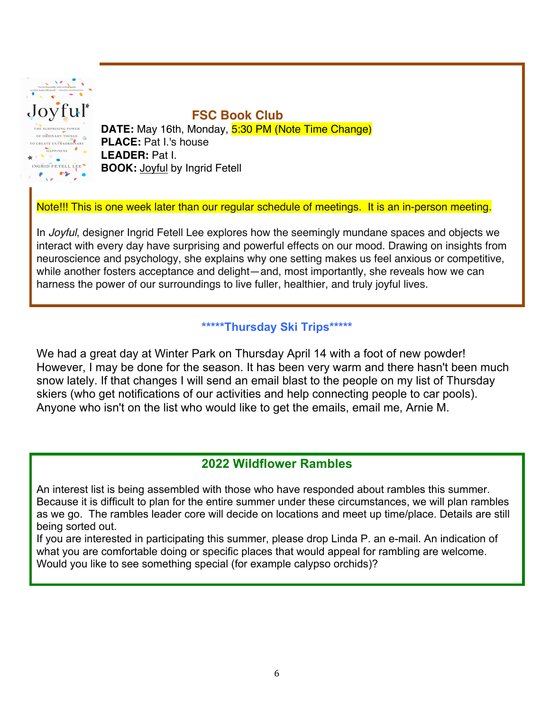

## **FSC Book Club**

**DATE:** May 16th, Monday, 5:30 PM (Note Time Change) **PLACE: Pat I.'s house LEADER:** Pat I. **BOOK:** Joyful by Ingrid Fetell

Note!!! This is one week later than our regular schedule of meetings. It is an in-person meeting.

In *Joyful*, designer Ingrid Fetell Lee explores how the seemingly mundane spaces and objects we interact with every day have surprising and powerful effects on our mood. Drawing on insights from neuroscience and psychology, she explains why one setting makes us feel anxious or competitive, while another fosters acceptance and delight—and, most importantly, she reveals how we can harness the power of our surroundings to live fuller, healthier, and truly joyful lives.

### **\*\*\*\*\*Thursday Ski Trips\*\*\*\*\***

We had a great day at Winter Park on Thursday April 14 with a foot of new powder! However, I may be done for the season. It has been very warm and there hasn't been much snow lately. If that changes I will send an email blast to the people on my list of Thursday skiers (who get notifications of our activities and help connecting people to car pools). Anyone who isn't on the list who would like to get the emails, email me, Arnie M.

### **2022 Wildflower Rambles**

An interest list is being assembled with those who have responded about rambles this summer. Because it is difficult to plan for the entire summer under these circumstances, we will plan rambles as we go. The rambles leader core will decide on locations and meet up time/place. Details are still being sorted out.

If you are interested in participating this summer, please drop Linda P. an e-mail. An indication of what you are comfortable doing or specific places that would appeal for rambling are welcome. Would you like to see something special (for example calypso orchids)?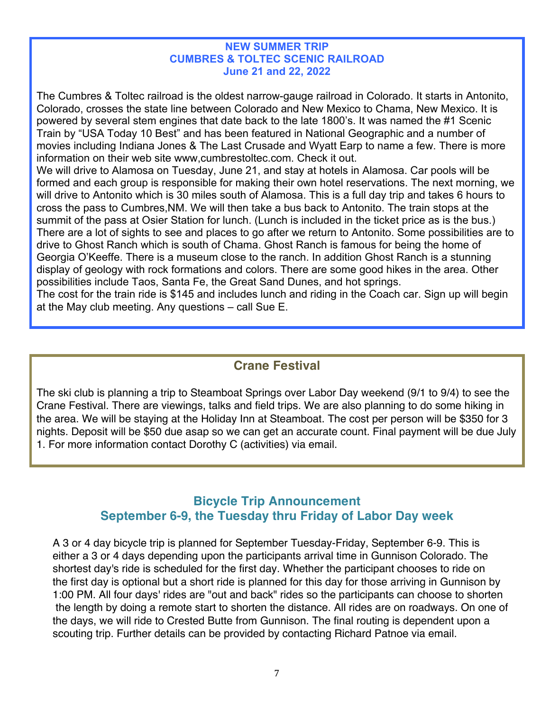#### **NEW SUMMER TRIP CUMBRES & TOLTEC SCENIC RAILROAD June 21 and 22, 2022**

The Cumbres & Toltec railroad is the oldest narrow-gauge railroad in Colorado. It starts in Antonito, Colorado, crosses the state line between Colorado and New Mexico to Chama, New Mexico. It is powered by several stem engines that date back to the late 1800's. It was named the #1 Scenic Train by "USA Today 10 Best" and has been featured in National Geographic and a number of movies including Indiana Jones & The Last Crusade and Wyatt Earp to name a few. There is more information on their web site www,cumbrestoltec.com. Check it out.

We will drive to Alamosa on Tuesday, June 21, and stay at hotels in Alamosa. Car pools will be formed and each group is responsible for making their own hotel reservations. The next morning, we will drive to Antonito which is 30 miles south of Alamosa. This is a full day trip and takes 6 hours to cross the pass to Cumbres,NM. We will then take a bus back to Antonito. The train stops at the summit of the pass at Osier Station for lunch. (Lunch is included in the ticket price as is the bus.) There are a lot of sights to see and places to go after we return to Antonito. Some possibilities are to drive to Ghost Ranch which is south of Chama. Ghost Ranch is famous for being the home of Georgia O'Keeffe. There is a museum close to the ranch. In addition Ghost Ranch is a stunning display of geology with rock formations and colors. There are some good hikes in the area. Other possibilities include Taos, Santa Fe, the Great Sand Dunes, and hot springs.

The cost for the train ride is \$145 and includes lunch and riding in the Coach car. Sign up will begin at the May club meeting. Any questions – call Sue E.

## **Crane Festival**

The ski club is planning a trip to Steamboat Springs over Labor Day weekend (9/1 to 9/4) to see the Crane Festival. There are viewings, talks and field trips. We are also planning to do some hiking in the area. We will be staying at the Holiday Inn at Steamboat. The cost per person will be \$350 for 3 nights. Deposit will be \$50 due asap so we can get an accurate count. Final payment will be due July 1. For more information contact Dorothy C (activities) via email.

### **Bicycle Trip Announcement September 6-9, the Tuesday thru Friday of Labor Day week**

A 3 or 4 day bicycle trip is planned for September Tuesday-Friday, September 6-9. This is either a 3 or 4 days depending upon the participants arrival time in Gunnison Colorado. The shortest day's ride is scheduled for the first day. Whether the participant chooses to ride on the first day is optional but a short ride is planned for this day for those arriving in Gunnison by 1:00 PM. All four days' rides are "out and back" rides so the participants can choose to shorten the length by doing a remote start to shorten the distance. All rides are on roadways. On one of the days, we will ride to Crested Butte from Gunnison. The final routing is dependent upon a scouting trip. Further details can be provided by contacting Richard Patnoe via email.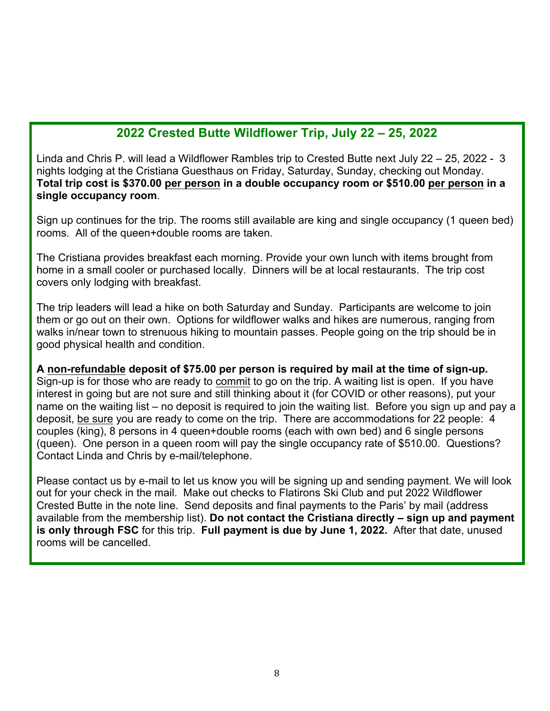## **2022 Crested Butte Wildflower Trip, July 22 – 25, 2022**

Linda and Chris P. will lead a Wildflower Rambles trip to Crested Butte next July 22 – 25, 2022 - 3 nights lodging at the Cristiana Guesthaus on Friday, Saturday, Sunday, checking out Monday. **Total trip cost is \$370.00 per person in a double occupancy room or \$510.00 per person in a single occupancy room**.

Sign up continues for the trip. The rooms still available are king and single occupancy (1 queen bed) rooms. All of the queen+double rooms are taken.

The Cristiana provides breakfast each morning. Provide your own lunch with items brought from home in a small cooler or purchased locally. Dinners will be at local restaurants. The trip cost covers only lodging with breakfast.

The trip leaders will lead a hike on both Saturday and Sunday. Participants are welcome to join them or go out on their own. Options for wildflower walks and hikes are numerous, ranging from walks in/near town to strenuous hiking to mountain passes. People going on the trip should be in good physical health and condition.

#### **A non-refundable deposit of \$75.00 per person is required by mail at the time of sign-up.**

Sign-up is for those who are ready to commit to go on the trip. A waiting list is open. If you have interest in going but are not sure and still thinking about it (for COVID or other reasons), put your name on the waiting list – no deposit is required to join the waiting list. Before you sign up and pay a deposit, be sure you are ready to come on the trip. There are accommodations for 22 people: 4 couples (king), 8 persons in 4 queen+double rooms (each with own bed) and 6 single persons (queen). One person in a queen room will pay the single occupancy rate of \$510.00. Questions? Contact Linda and Chris by e-mail/telephone.

Please contact us by e-mail to let us know you will be signing up and sending payment. We will look out for your check in the mail. Make out checks to Flatirons Ski Club and put 2022 Wildflower Crested Butte in the note line. Send deposits and final payments to the Paris' by mail (address available from the membership list). **Do not contact the Cristiana directly – sign up and payment is only through FSC** for this trip. **Full payment is due by June 1, 2022.** After that date, unused rooms will be cancelled.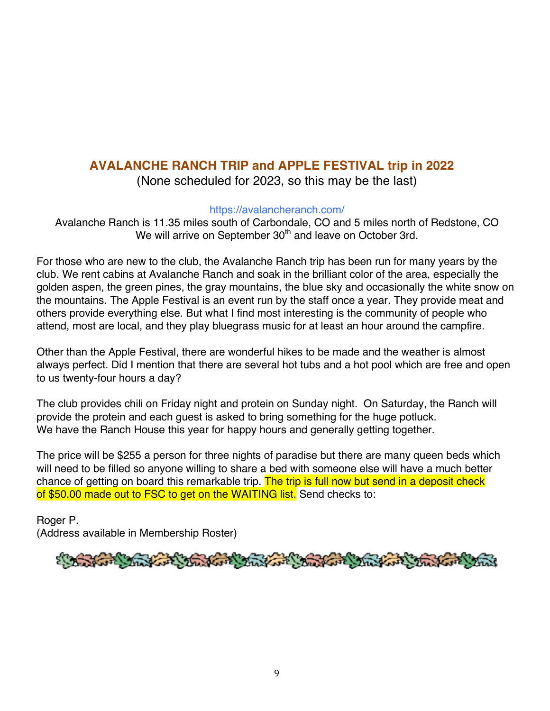## **AVALANCHE RANCH TRIP and APPLE FESTIVAL trip in 2022**

(None scheduled for 2023, so this may be the last)

https://avalancheranch.com/

Avalanche Ranch is 11.35 miles south of Carbondale, CO and 5 miles north of Redstone, CO We will arrive on September 30<sup>th</sup> and leave on October 3rd.

For those who are new to the club, the Avalanche Ranch trip has been run for many years by the club. We rent cabins at Avalanche Ranch and soak in the brilliant color of the area, especially the golden aspen, the green pines, the gray mountains, the blue sky and occasionally the white snow on the mountains. The Apple Festival is an event run by the staff once a year. They provide meat and others provide everything else. But what I find most interesting is the community of people who attend, most are local, and they play bluegrass music for at least an hour around the campfire.

Other than the Apple Festival, there are wonderful hikes to be made and the weather is almost always perfect. Did I mention that there are several hot tubs and a hot pool which are free and open to us twenty-four hours a day?

The club provides chili on Friday night and protein on Sunday night. On Saturday, the Ranch will provide the protein and each guest is asked to bring something for the huge potluck. We have the Ranch House this year for happy hours and generally getting together.

The price will be \$255 a person for three nights of paradise but there are many queen beds which will need to be filled so anyone willing to share a bed with someone else will have a much better chance of getting on board this remarkable trip. The trip is full now but send in a deposit check of \$50.00 made out to FSC to get on the WAITING list. Send checks to:

Roger P. (Address available in Membership Roster)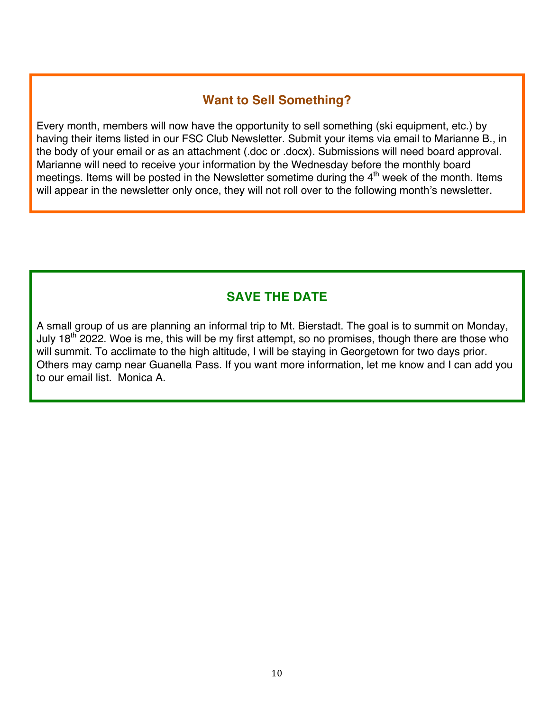### **Want to Sell Something?**

Every month, members will now have the opportunity to sell something (ski equipment, etc.) by having their items listed in our FSC Club Newsletter. Submit your items via email to Marianne B., in the body of your email or as an attachment (.doc or .docx). Submissions will need board approval. Marianne will need to receive your information by the Wednesday before the monthly board meetings. Items will be posted in the Newsletter sometime during the 4<sup>th</sup> week of the month. Items will appear in the newsletter only once, they will not roll over to the following month's newsletter.

## **SAVE THE DATE**

A small group of us are planning an informal trip to Mt. Bierstadt. The goal is to summit on Monday, July 18<sup>th</sup> 2022. Woe is me, this will be my first attempt, so no promises, though there are those who will summit. To acclimate to the high altitude, I will be staying in Georgetown for two days prior. Others may camp near Guanella Pass. If you want more information, let me know and I can add you to our email list. Monica A.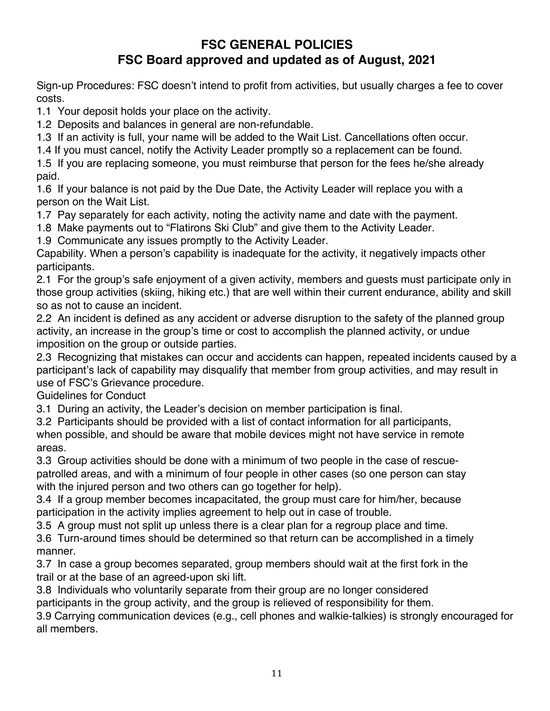## **FSC GENERAL POLICIES FSC Board approved and updated as of August, 2021**

Sign-up Procedures: FSC doesn't intend to profit from activities, but usually charges a fee to cover costs.

1.1 Your deposit holds your place on the activity.

1.2 Deposits and balances in general are non-refundable.

1.3 If an activity is full, your name will be added to the Wait List. Cancellations often occur.

1.4 If you must cancel, notify the Activity Leader promptly so a replacement can be found.

1.5 If you are replacing someone, you must reimburse that person for the fees he/she already paid.

1.6 If your balance is not paid by the Due Date, the Activity Leader will replace you with a person on the Wait List.

1.7 Pay separately for each activity, noting the activity name and date with the payment.

1.8 Make payments out to "Flatirons Ski Club" and give them to the Activity Leader.

1.9 Communicate any issues promptly to the Activity Leader.

Capability. When a person's capability is inadequate for the activity, it negatively impacts other participants.

2.1 For the group's safe enjoyment of a given activity, members and guests must participate only in those group activities (skiing, hiking etc.) that are well within their current endurance, ability and skill so as not to cause an incident.

2.2 An incident is defined as any accident or adverse disruption to the safety of the planned group activity, an increase in the group's time or cost to accomplish the planned activity, or undue imposition on the group or outside parties.

2.3 Recognizing that mistakes can occur and accidents can happen, repeated incidents caused by a participant's lack of capability may disqualify that member from group activities, and may result in use of FSC's Grievance procedure.

Guidelines for Conduct

3.1 During an activity, the Leader's decision on member participation is final.

3.2 Participants should be provided with a list of contact information for all participants, when possible, and should be aware that mobile devices might not have service in remote areas.

3.3 Group activities should be done with a minimum of two people in the case of rescuepatrolled areas, and with a minimum of four people in other cases (so one person can stay with the injured person and two others can go together for help).

3.4 If a group member becomes incapacitated, the group must care for him/her, because participation in the activity implies agreement to help out in case of trouble.

3.5 A group must not split up unless there is a clear plan for a regroup place and time.

3.6 Turn-around times should be determined so that return can be accomplished in a timely manner.

3.7 In case a group becomes separated, group members should wait at the first fork in the trail or at the base of an agreed-upon ski lift.

3.8 Individuals who voluntarily separate from their group are no longer considered

participants in the group activity, and the group is relieved of responsibility for them.

3.9 Carrying communication devices (e.g., cell phones and walkie-talkies) is strongly encouraged for all members.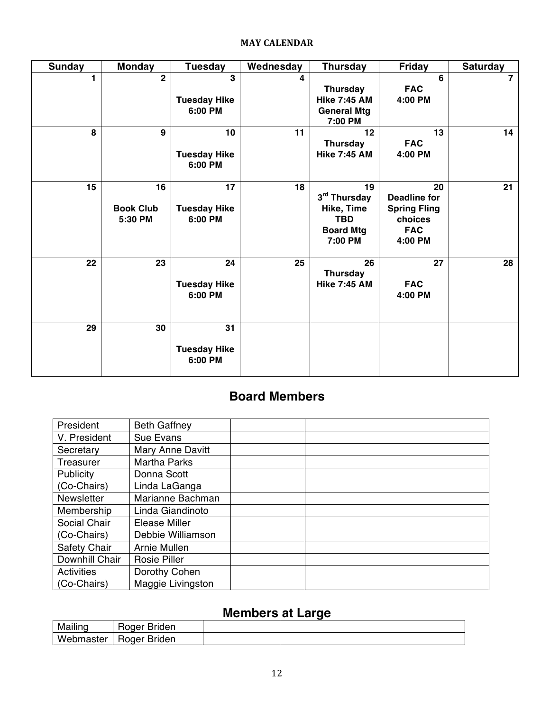#### **MAY CALENDAR**

| <b>Sunday</b> | <b>Monday</b>                     | <b>Tuesday</b>                       | Wednesday | <b>Thursday</b>                                                               | <b>Friday</b>                                                                        | <b>Saturday</b> |
|---------------|-----------------------------------|--------------------------------------|-----------|-------------------------------------------------------------------------------|--------------------------------------------------------------------------------------|-----------------|
| 1             | $\overline{2}$                    | 3<br><b>Tuesday Hike</b><br>6:00 PM  | 4         | Thursday<br><b>Hike 7:45 AM</b><br><b>General Mtg</b><br>7:00 PM              | 6<br><b>FAC</b><br>4:00 PM                                                           | $\overline{7}$  |
| 8             | $\mathbf{9}$                      | 10<br><b>Tuesday Hike</b><br>6:00 PM | 11        | 12<br><b>Thursday</b><br><b>Hike 7:45 AM</b>                                  | 13<br><b>FAC</b><br>4:00 PM                                                          | 14              |
| 15            | 16<br><b>Book Club</b><br>5:30 PM | 17<br><b>Tuesday Hike</b><br>6:00 PM | 18        | 19<br>3rd Thursday<br>Hike, Time<br><b>TBD</b><br><b>Board Mtg</b><br>7:00 PM | 20<br><b>Deadline for</b><br><b>Spring Fling</b><br>choices<br><b>FAC</b><br>4:00 PM | 21              |
| 22            | 23                                | 24<br><b>Tuesday Hike</b><br>6:00 PM | 25        | 26<br><b>Thursday</b><br><b>Hike 7:45 AM</b>                                  | 27<br><b>FAC</b><br>4:00 PM                                                          | 28              |
| 29            | 30                                | 31<br><b>Tuesday Hike</b><br>6:00 PM |           |                                                                               |                                                                                      |                 |

## **Board Members**

| President         | <b>Beth Gaffney</b>     |  |
|-------------------|-------------------------|--|
| V. President      | <b>Sue Evans</b>        |  |
| Secretary         | <b>Mary Anne Davitt</b> |  |
| Treasurer         | <b>Martha Parks</b>     |  |
| Publicity         | Donna Scott             |  |
| (Co-Chairs)       | Linda LaGanga           |  |
| <b>Newsletter</b> | Marianne Bachman        |  |
| Membership        | Linda Giandinoto        |  |
| Social Chair      | Elease Miller           |  |
| (Co-Chairs)       | Debbie Williamson       |  |
| Safety Chair      | Arnie Mullen            |  |
| Downhill Chair    | <b>Rosie Piller</b>     |  |
| <b>Activities</b> | Dorothy Cohen           |  |
| (Co-Chairs)       | Maggie Livingston       |  |

## **Members at Large**

|                  |              | ______ |  |
|------------------|--------------|--------|--|
| Mailing          | Roger Briden |        |  |
| <b>Webmaster</b> | Roger Briden |        |  |